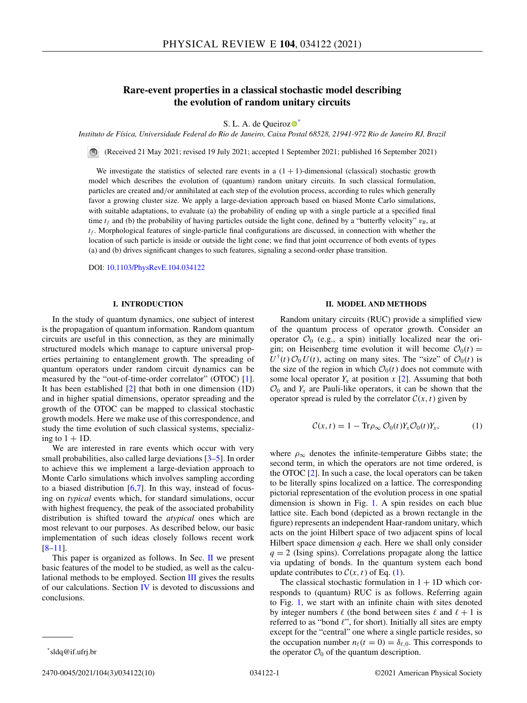# <span id="page-0-0"></span>**Rare-event properties in a classical stochastic model describing the evolution of random unitary circuits**

S. L. A. de Queiro[z](https://orcid.org/0000-0002-7148-1433) $\bullet^*$ 

*Instituto de Física, Universidade Federal do Rio de Janeiro, Caixa Postal 68528, 21941-972 Rio de Janeiro RJ, Brazil*

(Received 21 May 2021; revised 19 July 2021; accepted 1 September 2021; published 16 September 2021)

We investigate the statistics of selected rare events in a  $(1 + 1)$ -dimensional (classical) stochastic growth model which describes the evolution of (quantum) random unitary circuits. In such classical formulation, particles are created and/or annihilated at each step of the evolution process, according to rules which generally favor a growing cluster size. We apply a large-deviation approach based on biased Monte Carlo simulations, with suitable adaptations, to evaluate (a) the probability of ending up with a single particle at a specified final time  $t_f$  and (b) the probability of having particles outside the light cone, defined by a "butterfly velocity"  $v_B$ , at  $t_f$ . Morphological features of single-particle final configurations are discussed, in connection with whether the location of such particle is inside or outside the light cone; we find that joint occurrence of both events of types (a) and (b) drives significant changes to such features, signaling a second-order phase transition.

DOI: [10.1103/PhysRevE.104.034122](https://doi.org/10.1103/PhysRevE.104.034122)

### **I. INTRODUCTION**

In the study of quantum dynamics, one subject of interest is the propagation of quantum information. Random quantum circuits are useful in this connection, as they are minimally structured models which manage to capture universal properties pertaining to entanglement growth. The spreading of quantum operators under random circuit dynamics can be measured by the "out-of-time-order correlator" (OTOC) [\[1\]](#page-8-0). It has been established [\[2\]](#page-8-0) that both in one dimension (1D) and in higher spatial dimensions, operator spreading and the growth of the OTOC can be mapped to classical stochastic growth models. Here we make use of this correspondence, and study the time evolution of such classical systems, specializing to  $1 + 1D$ .

We are interested in rare events which occur with very small probabilities, also called large deviations [\[3–5\]](#page-8-0). In order to achieve this we implement a large-deviation approach to Monte Carlo simulations which involves sampling according to a biased distribution  $[6,7]$ . In this way, instead of focusing on *typical* events which, for standard simulations, occur with highest frequency, the peak of the associated probability distribution is shifted toward the *atypical* ones which are most relevant to our purposes. As described below, our basic implementation of such ideas closely follows recent work [\[8–11\]](#page-9-0).

This paper is organized as follows. In Sec.  $\mathbf{II}$  we present basic features of the model to be studied, as well as the calculational methods to be employed. Section  $III$  gives the results of our calculations. Section  $IV$  is devoted to discussions and conclusions.

#### **II. MODEL AND METHODS**

Random unitary circuits (RUC) provide a simplified view of the quantum process of operator growth. Consider an operator  $\mathcal{O}_0$  (e.g., a spin) initially localized near the origin; on Heisenberg time evolution it will become  $\mathcal{O}_0(t) =$  $U^{\dagger}(t)$   $\mathcal{O}_0$  *U*(*t*), acting on many sites. The "size" of  $\mathcal{O}_0(t)$  is the size of the region in which  $\mathcal{O}_0(t)$  does not commute with some local operator  $Y_x$  at position  $x$  [\[2\]](#page-8-0). Assuming that both  $\mathcal{O}_0$  and  $Y_x$  are Pauli-like operators, it can be shown that the operator spread is ruled by the correlator  $C(x, t)$  given by

$$
C(x,t) = 1 - \text{Tr}\rho_{\infty} \mathcal{O}_0(t) Y_x \mathcal{O}_0(t) Y_x, \qquad (1)
$$

where  $\rho_{\infty}$  denotes the infinite-temperature Gibbs state; the second term, in which the operators are not time ordered, is the OTOC [\[2\]](#page-8-0). In such a case, the local operators can be taken to be literally spins localized on a lattice. The corresponding pictorial representation of the evolution process in one spatial dimension is shown in Fig. [1.](#page-1-0) A spin resides on each blue lattice site. Each bond (depicted as a brown rectangle in the figure) represents an independent Haar-random unitary, which acts on the joint Hilbert space of two adjacent spins of local Hilbert space dimension  $q$  each. Here we shall only consider  $q = 2$  (Ising spins). Correlations propagate along the lattice via updating of bonds. In the quantum system each bond update contributes to  $C(x, t)$  of Eq. (1).

The classical stochastic formulation in  $1 + 1D$  which corresponds to (quantum) RUC is as follows. Referring again to Fig. [1,](#page-1-0) we start with an infinite chain with sites denoted by integer numbers  $\ell$  (the bond between sites  $\ell$  and  $\ell + 1$  is referred to as "bond  $\ell$ ", for short). Initially all sites are empty except for the "central" one where a single particle resides, so the occupation number  $n_{\ell}(t = 0) = \delta_{\ell,0}$ . This corresponds to the operator  $\mathcal{O}_0$  of the quantum description.

2470-0045/2021/104(3)/034122(10) 034122-1 ©2021 American Physical Society

<sup>\*</sup>sldq@if.ufrj.br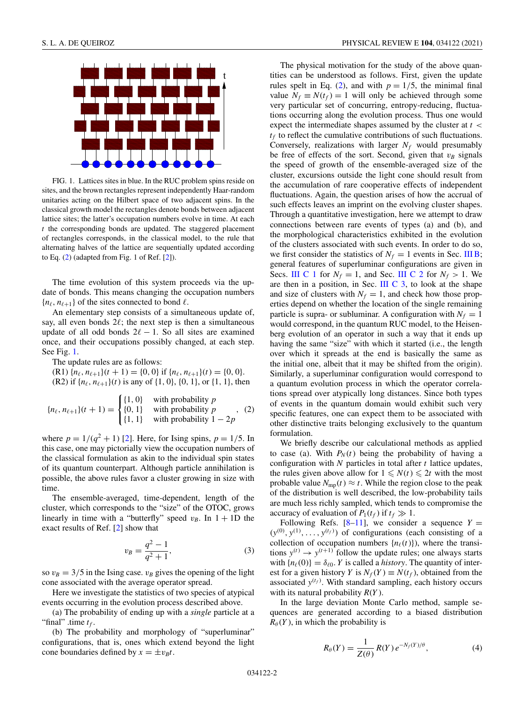<span id="page-1-0"></span>

FIG. 1. Lattices sites in blue. In the RUC problem spins reside on sites, and the brown rectangles represent independently Haar-random unitaries acting on the Hilbert space of two adjacent spins. In the classical growth model the rectangles denote bonds between adjacent lattice sites; the latter's occupation numbers evolve in time. At each *t* the corresponding bonds are updated. The staggered placement of rectangles corresponds, in the classical model, to the rule that alternating halves of the lattice are sequentially updated according to Eq. (2) (adapted from Fig. 1 of Ref. [\[2\]](#page-8-0)).

The time evolution of this system proceeds via the update of bonds. This means changing the occupation numbers  ${n_\ell, n_{\ell+1}}$  of the sites connected to bond  $\ell$ .

An elementary step consists of a simultaneous update of, say, all even bonds  $2\ell$ ; the next step is then a simultaneous update of all odd bonds  $2\ell - 1$ . So all sites are examined once, and their occupations possibly changed, at each step. See Fig. 1.

The update rules are as follows:

(R1)  ${n_\ell, n_{\ell+1}}(t+1) = {0, 0}$  if  ${n_\ell, n_{\ell+1}}(t) = {0, 0}$ . (R2) if  $\{n_\ell, n_{\ell+1}\}(t)$  is any of  $\{1, 0\}$ ,  $\{0, 1\}$ , or  $\{1, 1\}$ , then

$$
\{n_{\ell}, n_{\ell+1}\}(t+1) = \begin{cases} \{1, 0\} & \text{with probability } p \\ \{0, 1\} & \text{with probability } p \\ \{1, 1\} & \text{with probability } 1 - 2p \end{cases}
$$
 (2)

where  $p = 1/(q^2 + 1)$  [\[2\]](#page-8-0). Here, for Ising spins,  $p = 1/5$ . In this case, one may pictorially view the occupation numbers of the classical formulation as akin to the individual spin states of its quantum counterpart. Although particle annihilation is possible, the above rules favor a cluster growing in size with time.

The ensemble-averaged, time-dependent, length of the cluster, which corresponds to the "size" of the OTOC, grows linearly in time with a "butterfly" speed  $v_B$ . In  $1 + 1D$  the exact results of Ref. [\[2\]](#page-8-0) show that

$$
v_B = \frac{q^2 - 1}{q^2 + 1},\tag{3}
$$

so  $v_B = 3/5$  in the Ising case.  $v_B$  gives the opening of the light cone associated with the average operator spread.

Here we investigate the statistics of two species of atypical events occurring in the evolution process described above.

(a) The probability of ending up with a *single* particle at a "final" .time  $t_f$ .

(b) The probability and morphology of "superluminar" configurations, that is, ones which extend beyond the light cone boundaries defined by  $x = \pm v_B t$ .

The physical motivation for the study of the above quantities can be understood as follows. First, given the update rules spelt in Eq. (2), and with  $p = 1/5$ , the minimal final value  $N_f \equiv N(t_f) = 1$  will only be achieved through some very particular set of concurring, entropy-reducing, fluctuations occurring along the evolution process. Thus one would expect the intermediate shapes assumed by the cluster at *t* <  $t_f$  to reflect the cumulative contributions of such fluctuations. Conversely, realizations with larger  $N_f$  would presumably be free of effects of the sort. Second, given that  $v_B$  signals the speed of growth of the ensemble-averaged size of the cluster, excursions outside the light cone should result from the accumulation of rare cooperative effects of independent fluctuations. Again, the question arises of how the accrual of such effects leaves an imprint on the evolving cluster shapes. Through a quantitative investigation, here we attempt to draw connections between rare events of types (a) and (b), and the morphological characteristics exhibited in the evolution of the clusters associated with such events. In order to do so, we first consider the statistics of  $N_f = 1$  events in Sec. [III B;](#page-4-0) general features of superluminar configurations are given in Secs. [III C 1](#page-4-0) for  $N_f = 1$ , and Sec. [III C 2](#page-5-0) for  $N_f > 1$ . We are then in a position, in Sec. III C  $3$ , to look at the shape and size of clusters with  $N_f = 1$ , and check how those properties depend on whether the location of the single remaining particle is supra- or subluminar. A configuration with  $N_f = 1$ would correspond, in the quantum RUC model, to the Heisenberg evolution of an operator in such a way that it ends up having the same "size" with which it started (i.e., the length over which it spreads at the end is basically the same as the initial one, albeit that it may be shifted from the origin). Similarly, a superluminar configuration would correspond to a quantum evolution process in which the operator correlations spread over atypically long distances. Since both types of events in the quantum domain would exhibit such very specific features, one can expect them to be associated with other distinctive traits belonging exclusively to the quantum formulation.

We briefly describe our calculational methods as applied to case (a). With  $P_N(t)$  being the probability of having a configuration with *N* particles in total after *t* lattice updates, the rules given above allow for  $1 \le N(t) \le 2t$  with the most probable value  $N_{\text{mp}}(t) \approx t$ . While the region close to the peak of the distribution is well described, the low-probability tails are much less richly sampled, which tends to compromise the accuracy of evaluation of  $P_1(t_f)$  if  $t_f \gg 1$ .

Following Refs.  $[8-11]$ , we consider a sequence  $Y =$  $(y^{(0)}, y^{(1)}, \ldots, y^{(t_f)})$  of configurations (each consisting of a collection of occupation numbers  $\{n_{\ell}(t)\}\)$ , where the transitions  $y^{(t)} \rightarrow y^{(t+1)}$  follow the update rules; one always starts with  ${n_\ell(0)} = \delta_{\ell 0}$ . *Y* is called a *history*. The quantity of interest for a given history *Y* is  $N_f(Y) \equiv N(t_f)$ , obtained from the associated  $y^{(t_f)}$ . With standard sampling, each history occurs with its natural probability *R*(*Y* ).

In the large deviation Monte Carlo method, sample sequences are generated according to a biased distribution  $R_{\theta}(Y)$ , in which the probability is

$$
R_{\theta}(Y) = \frac{1}{Z(\theta)} R(Y) e^{-N_f(Y)/\theta},
$$
 (4)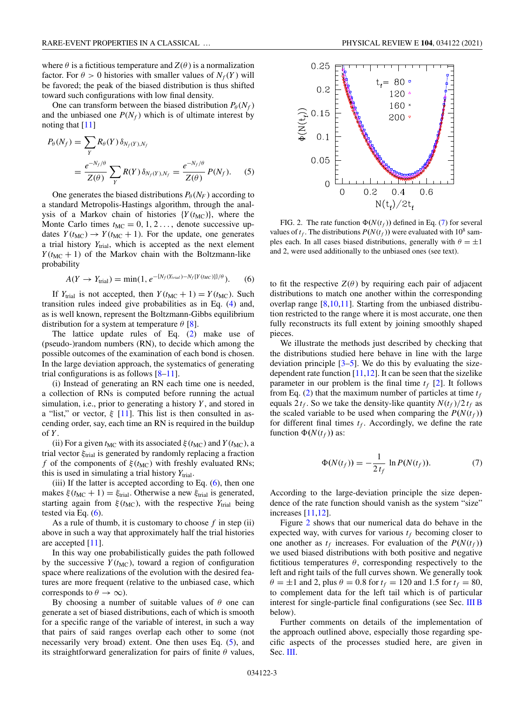<span id="page-2-0"></span>where  $\theta$  is a fictitious temperature and  $Z(\theta)$  is a normalization factor. For  $\theta > 0$  histories with smaller values of  $N_f(Y)$  will be favored; the peak of the biased distribution is thus shifted toward such configurations with low final density.

One can transform between the biased distribution  $P_{\theta}(N_f)$ and the unbiased one  $P(N_f)$  which is of ultimate interest by noting that [\[11\]](#page-9-0)

$$
P_{\theta}(N_f) = \sum_{Y} R_{\theta}(Y) \delta_{N_f(Y), N_f}
$$
  
= 
$$
\frac{e^{-N_f/\theta}}{Z(\theta)} \sum_{Y} R(Y) \delta_{N_f(Y), N_f} = \frac{e^{-N_f/\theta}}{Z(\theta)} P(N_f).
$$
 (5)

One generates the biased distributions  $P_{\theta}(N_F)$  according to a standard Metropolis-Hastings algorithm, through the analysis of a Markov chain of histories  ${Y(t_{MC})}$ , where the Monte Carlo times  $t_{MC} = 0, 1, 2, \ldots$ , denote successive updates  $Y(t_{MC}) \rightarrow Y(t_{MC} + 1)$ . For the update, one generates a trial history *Y*trial, which is accepted as the next element  $Y(t_{MC} + 1)$  of the Markov chain with the Boltzmann-like probability

$$
A(Y \to Y_{\text{trial}}) = \min(1, e^{-\{N_f(Y_{\text{trial}}) - N_f[Y(t_{\text{MC}})]\}/\theta}).
$$
 (6)

If  $Y_{trial}$  is not accepted, then  $Y(t_{MC} + 1) = Y(t_{MC})$ . Such transition rules indeed give probabilities as in Eq. [\(4\)](#page-1-0) and, as is well known, represent the Boltzmann-Gibbs equilibrium distribution for a system at temperature  $\theta$  [\[8\]](#page-9-0).

The lattice update rules of Eq. [\(2\)](#page-1-0) make use of (pseudo-)random numbers (RN), to decide which among the possible outcomes of the examination of each bond is chosen. In the large deviation approach, the systematics of generating trial configurations is as follows  $[8-11]$ .

(i) Instead of generating an RN each time one is needed, a collection of RNs is computed before running the actual simulation, i.e., prior to generating a history *Y* , and stored in a "list," or vector,  $\xi$  [\[11\]](#page-9-0). This list is then consulted in ascending order, say, each time an RN is required in the buildup of *Y* .

(ii) For a given  $t_{MC}$  with its associated  $\xi(t_{MC})$  and  $Y(t_{MC})$ , a trial vector  $\xi_{trial}$  is generated by randomly replacing a fraction *f* of the components of  $\xi$ ( $t_{MC}$ ) with freshly evaluated RNs; this is used in simulating a trial history  $Y_{\text{trial}}$ .

(iii) If the latter is accepted according to Eq.  $(6)$ , then one makes  $\xi(t_{MC} + 1) = \xi_{trial}$ . Otherwise a new  $\xi_{trial}$  is generated, starting again from  $\xi(t_{MC})$ , with the respective  $Y_{trial}$  being tested via Eq.  $(6)$ .

As a rule of thumb, it is customary to choose *f* in step (ii) above in such a way that approximately half the trial histories are accepted [\[11\]](#page-9-0).

In this way one probabilistically guides the path followed by the successive  $Y(t_{MC})$ , toward a region of configuration space where realizations of the evolution with the desired features are more frequent (relative to the unbiased case, which corresponds to  $\theta \to \infty$ ).

By choosing a number of suitable values of  $\theta$  one can generate a set of biased distributions, each of which is smooth for a specific range of the variable of interest, in such a way that pairs of said ranges overlap each other to some (not necessarily very broad) extent. One then uses Eq. (5), and its straightforward generalization for pairs of finite  $\theta$  values,



FIG. 2. The rate function  $\Phi(N(t_f))$  defined in Eq. (7) for several values of  $t_f$ . The distributions  $P(N(t_f))$  were evaluated with 10<sup>8</sup> samples each. In all cases biased distributions, generally with  $\theta = \pm 1$ and 2, were used additionally to the unbiased ones (see text).

to fit the respective  $Z(\theta)$  by requiring each pair of adjacent distributions to match one another within the corresponding overlap range [\[8,10,11\]](#page-9-0). Starting from the unbiased distribution restricted to the range where it is most accurate, one then fully reconstructs its full extent by joining smoothly shaped pieces.

We illustrate the methods just described by checking that the distributions studied here behave in line with the large deviation principle  $[3-5]$ . We do this by evaluating the sizedependent rate function [\[11,12\]](#page-9-0). It can be seen that the sizelike parameter in our problem is the final time  $t_f$  [\[2\]](#page-8-0). It follows from Eq.  $(2)$  that the maximum number of particles at time  $t_f$ equals  $2 t_f$ . So we take the density-like quantity  $N(t_f)/2 t_f$  as the scaled variable to be used when comparing the  $P(N(t_f))$ for different final times  $t_f$ . Accordingly, we define the rate function  $\Phi(N(t_f))$  as:

$$
\Phi(N(t_f)) = -\frac{1}{2t_f} \ln P(N(t_f)).
$$
\n(7)

According to the large-deviation principle the size dependence of the rate function should vanish as the system "size" increases [\[11,12\]](#page-9-0).

Figure 2 shows that our numerical data do behave in the expected way, with curves for various  $t_f$  becoming closer to one another as  $t_f$  increases. For evaluation of the  $P(N(t_f))$ we used biased distributions with both positive and negative fictitious temperatures  $\theta$ , corresponding respectively to the left and right tails of the full curves shown. We generally took  $\theta = \pm 1$  and 2, plus  $\theta = 0.8$  for  $t_f = 120$  and 1.5 for  $t_f = 80$ , to complement data for the left tail which is of particular interest for single-particle final configurations (see Sec. [III B](#page-4-0) below).

Further comments on details of the implementation of the approach outlined above, especially those regarding specific aspects of the processes studied here, are given in Sec. [III.](#page-3-0)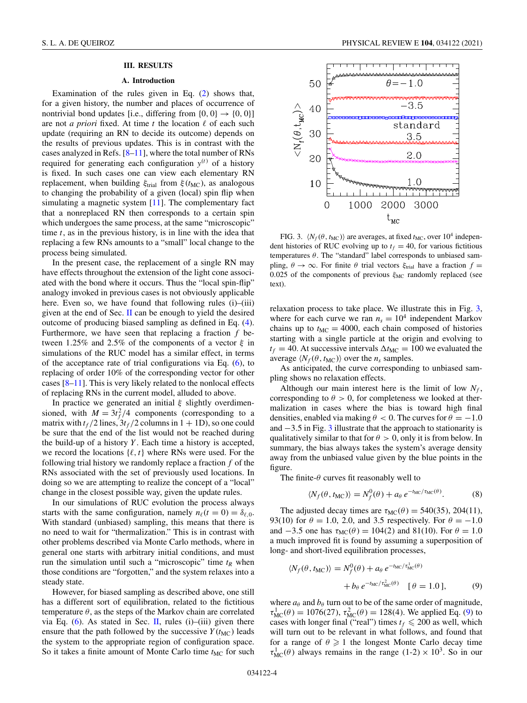#### **III. RESULTS**

### **A. Introduction**

<span id="page-3-0"></span>Examination of the rules given in Eq. [\(2\)](#page-1-0) shows that, for a given history, the number and places of occurrence of nontrivial bond updates [i.e., differing from  $\{0, 0\} \rightarrow \{0, 0\}$ ] are not *a priori* fixed. At time  $t$  the location  $\ell$  of each such update (requiring an RN to decide its outcome) depends on the results of previous updates. This is in contrast with the cases analyzed in Refs.  $[8-11]$ , where the total number of RNs required for generating each configuration  $y^{(t)}$  of a history is fixed. In such cases one can view each elementary RN replacement, when building  $\xi_{trial}$  from  $\xi(t_{MC})$ , as analogous to changing the probability of a given (local) spin flip when simulating a magnetic system [\[11\]](#page-9-0). The complementary fact that a nonreplaced RN then corresponds to a certain spin which undergoes the same process, at the same "microscopic" time *t*, as in the previous history, is in line with the idea that replacing a few RNs amounts to a "small" local change to the process being simulated.

In the present case, the replacement of a single RN may have effects throughout the extension of the light cone associated with the bond where it occurs. Thus the "local spin-flip" analogy invoked in previous cases is not obviously applicable here. Even so, we have found that following rules (i)–(iii) given at the end of Sec. [II](#page-0-0) can be enough to yield the desired outcome of producing biased sampling as defined in Eq. [\(4\)](#page-1-0). Furthermore, we have seen that replacing a fraction *f* between 1.25% and 2.5% of the components of a vector  $\xi$  in simulations of the RUC model has a similar effect, in terms of the acceptance rate of trial configurations via Eq. [\(6\)](#page-2-0), to replacing of order 10% of the corresponding vector for other cases [\[8–11\]](#page-9-0). This is very likely related to the nonlocal effects of replacing RNs in the current model, alluded to above.

In practice we generated an initial  $\xi$  slightly overdimensioned, with  $M = 3t_f^2/4$  components (corresponding to a matrix with  $t_f/2$  lines,  $3t_f/2$  columns in  $1 + 1D$ ), so one could be sure that the end of the list would not be reached during the build-up of a history *Y* . Each time a history is accepted, we record the locations  $\{\ell, t\}$  where RNs were used. For the following trial history we randomly replace a fraction *f* of the RNs associated with the set of previously used locations. In doing so we are attempting to realize the concept of a "local" change in the closest possible way, given the update rules.

In our simulations of RUC evolution the process always starts with the same configuration, namely  $n_{\ell}(t = 0) = \delta_{\ell,0}$ . With standard (unbiased) sampling, this means that there is no need to wait for "thermalization." This is in contrast with other problems described via Monte Carlo methods, where in general one starts with arbitrary initial conditions, and must run the simulation until such a "microscopic" time  $t_R$  when those conditions are "forgotten," and the system relaxes into a steady state.

However, for biased sampling as described above, one still has a different sort of equilibration, related to the fictitious temperature  $\theta$ , as the steps of the Markov chain are correlated via Eq.  $(6)$ . As stated in Sec. [II,](#page-0-0) rules  $(i)$ – $(iii)$  given there ensure that the path followed by the successive  $Y(t_{MC})$  leads the system to the appropriate region of configuration space. So it takes a finite amount of Monte Carlo time  $t_{MC}$  for such



FIG. 3.  $\langle N_f(\theta, t_{MC}) \rangle$  are averages, at fixed  $t_{MC}$ , over 10<sup>4</sup> independent histories of RUC evolving up to  $t_f = 40$ , for various fictitious temperatures  $\theta$ . The "standard" label corresponds to unbiased sampling,  $\theta \to \infty$ . For finite  $\theta$  trial vectors  $\xi_{\text{trial}}$  have a fraction  $f =$ 0.025 of the components of previous  $\xi_{MC}$  randomly replaced (see text).

relaxation process to take place. We illustrate this in Fig. 3, where for each curve we ran  $n_s = 10^4$  independent Markov chains up to  $t_{MC} = 4000$ , each chain composed of histories starting with a single particle at the origin and evolving to  $t_f = 40$ . At successive intervals  $\Delta t_{MC} = 100$  we evaluated the average  $\langle N_f(\theta, t_{MC}) \rangle$  over the  $n_s$  samples.

As anticipated, the curve corresponding to unbiased sampling shows no relaxation effects.

Although our main interest here is the limit of low  $N_f$ , corresponding to  $\theta > 0$ , for completeness we looked at thermalization in cases where the bias is toward high final densities, enabled via making  $\theta < 0$ . The curves for  $\theta = -1.0$ and −3.5 in Fig. 3 illustrate that the approach to stationarity is qualitatively similar to that for  $\theta > 0$ , only it is from below. In summary, the bias always takes the system's average density away from the unbiased value given by the blue points in the figure.

The finite- $\theta$  curves fit reasonably well to

$$
\langle N_f(\theta, t_{\text{MC}}) \rangle = N_f^0(\theta) + a_\theta \, e^{-t_{\text{MC}}/\tau_{\text{MC}}(\theta)}.
$$
 (8)

The adjusted decay times are  $\tau_{MC}(\theta) = 540(35)$ , 204(11), 93(10) for  $\theta = 1.0$ , 2.0, and 3.5 respectively. For  $\theta = -1.0$ and  $-3.5$  one has  $\tau_{MC}(\theta) = 104(2)$  and 81(10). For  $\theta = 1.0$ a much improved fit is found by assuming a superposition of long- and short-lived equilibration processes,

$$
\langle N_f(\theta, t_{\text{MC}}) \rangle = N_f^0(\theta) + a_\theta e^{-t_{\text{MC}}/\tau_{\text{MC}}^1(\theta)}
$$

$$
+ b_\theta e^{-t_{\text{MC}}/\tau_{\text{MC}}^2(\theta)} \quad [\theta = 1.0], \tag{9}
$$

where  $a_{\theta}$  and  $b_{\theta}$  turn out to be of the same order of magnitude,  $\tau_{MC}^1(\theta) = 1076(27), \tau_{MC}^2(\theta) = 128(4)$ . We applied Eq. (9) to cases with longer final ("real") times  $t_f \leq 200$  as well, which will turn out to be relevant in what follows, and found that for a range of  $\theta \geq 1$  the longest Monte Carlo decay time  $\tau_{MC}^1(\theta)$  always remains in the range  $(1-2) \times 10^3$ . So in our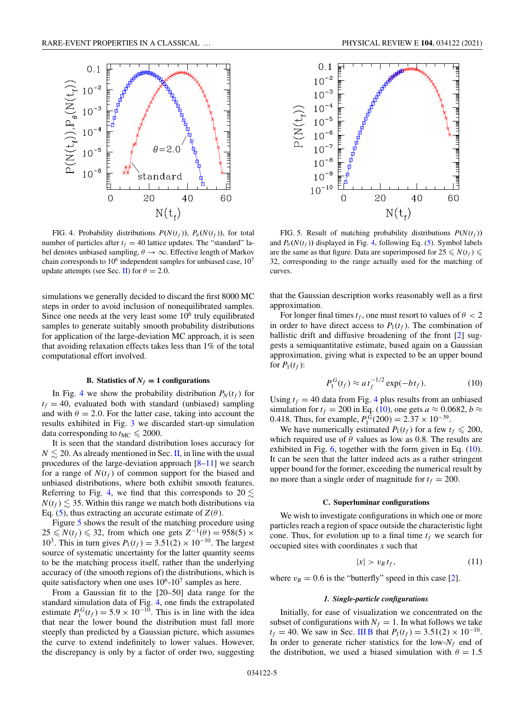<span id="page-4-0"></span>

FIG. 4. Probability distributions  $P(N(t_f))$ ,  $P_\theta(N(t_f))$ , for total number of particles after  $t_f = 40$  lattice updates. The "standard" label denotes unbiased sampling,  $\theta \rightarrow \infty$ . Effective length of Markov chain corresponds to  $10^6$  independent samples for unbiased case,  $10^7$ update attempts (see Sec. [II\)](#page-0-0) for  $\theta = 2.0$ .

simulations we generally decided to discard the first 8000 MC steps in order to avoid inclusion of nonequilibrated samples. Since one needs at the very least some  $10<sup>6</sup>$  truly equilibrated samples to generate suitably smooth probability distributions for application of the large-deviation MC approach, it is seen that avoiding relaxation effects takes less than 1% of the total computational effort involved.

# **B.** Statistics of  $N_f = 1$  configurations

In Fig. 4 we show the probability distribution  $P_N(t_f)$  for  $t_f = 40$ , evaluated both with standard (unbiased) sampling and with  $\theta = 2.0$ . For the latter case, taking into account the results exhibited in Fig. [3](#page-3-0) we discarded start-up simulation data corresponding to  $t_{MC} \leqslant 2000$ .

It is seen that the standard distribution loses accuracy for  $N \lesssim 20$ . As already mentioned in Sec. [II,](#page-0-0) in line with the usual procedures of the large-deviation approach  $[8-11]$  we search for a range of  $N(t_f)$  of common support for the biased and unbiased distributions, where both exhibit smooth features. Referring to Fig. 4, we find that this corresponds to 20  $\lesssim$  $N(t_f) \lesssim 35$ . Within this range we match both distributions via Eq. [\(5\)](#page-2-0), thus extracting an accurate estimate of  $Z(\theta)$ .

Figure 5 shows the result of the matching procedure using  $25 \le N(t_f) \le 32$ , from which one gets  $Z^{-1}(\theta) = 958(5) \times$ 10<sup>3</sup>. This in turn gives  $P_1(t_f) = 3.51(2) \times 10^{-10}$ . The largest source of systematic uncertainty for the latter quantity seems to be the matching process itself, rather than the underlying accuracy of (the smooth regions of) the distributions, which is quite satisfactory when one uses  $10^6$ - $10^7$  samples as here.

From a Gaussian fit to the [20–50] data range for the standard simulation data of Fig. 4, one finds the extrapolated estimate  $P_1^G(t_f) = 5.9 \times 10^{-10}$ . This is in line with the idea that near the lower bound the distribution must fall more steeply than predicted by a Gaussian picture, which assumes the curve to extend indefinitely to lower values. However, the discrepancy is only by a factor of order two, suggesting



FIG. 5. Result of matching probability distributions  $P(N(t_f))$ and  $P_{\theta}(N(t_f))$  displayed in Fig. 4, following Eq. [\(5\)](#page-2-0). Symbol labels are the same as that figure. Data are superimposed for  $25 \le N(t_f) \le$ 32, corresponding to the range actually used for the matching of curves.

that the Gaussian description works reasonably well as a first approximation.

For longer final times  $t_f$ , one must resort to values of  $\theta < 2$ in order to have direct access to  $P_1(t_f)$ . The combination of ballistic drift and diffusive broadening of the front [\[2\]](#page-8-0) suggests a semiquantitative estimate, based again on a Gaussian approximation, giving what is expected to be an upper bound for  $P_1(t_f)$ :

$$
P_1^G(t_f) \approx a t_f^{-1/2} \exp(-bt_f). \tag{10}
$$

Using  $t_f = 40$  data from Fig. 4 plus results from an unbiased simulation for  $t_f = 200$  in Eq. (10), one gets  $a \approx 0.0682$ ,  $b \approx$ 0.418. Thus, for example,  $P_1^{\bar{G}}(200) = 2.37 \times 10^{-39}$ .

We have numerically estimated  $P_1(t_f)$  for a few  $t_f \leq 200$ , which required use of  $\theta$  values as low as 0.8. The results are exhibited in Fig.  $6$ , together with the form given in Eq.  $(10)$ . It can be seen that the latter indeed acts as a rather stringent upper bound for the former, exceeding the numerical result by no more than a single order of magnitude for  $t_f = 200$ .

#### **C. Superluminar configurations**

We wish to investigate configurations in which one or more particles reach a region of space outside the characteristic light cone. Thus, for evolution up to a final time  $t_f$  we search for occupied sites with coordinates *x* such that

$$
|x| > v_B t_f, \tag{11}
$$

where  $v_B = 0.6$  is the "butterfly" speed in this case [\[2\]](#page-8-0).

#### *1. Single-particle configurations*

Initially, for ease of visualization we concentrated on the subset of configurations with  $N_f = 1$ . In what follows we take *t<sub>f</sub>* = 40. We saw in Sec. III B that  $P_1(t_f) = 3.51(2) \times 10^{-10}$ . In order to generate richer statistics for the low- $N_f$  end of the distribution, we used a biased simulation with  $\theta = 1.5$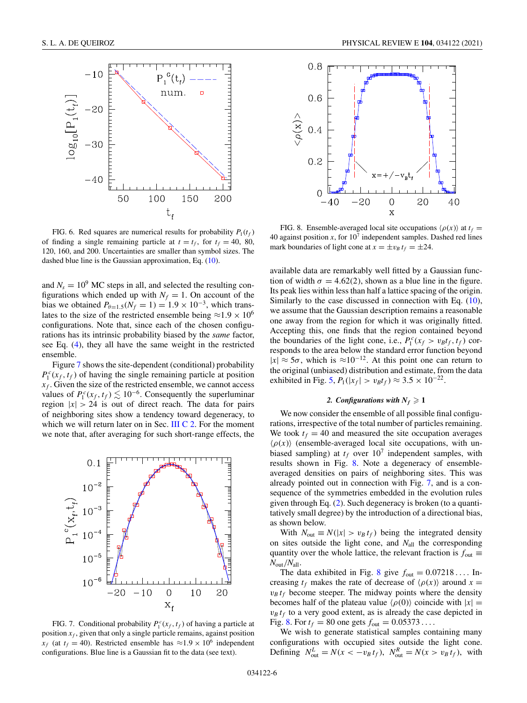<span id="page-5-0"></span>

FIG. 6. Red squares are numerical results for probability  $P_1(t_f)$ of finding a single remaining particle at  $t = t_f$ , for  $t_f = 40$ , 80, 120, 160, and 200. Uncertainties are smaller than symbol sizes. The dashed blue line is the Gaussian approximation, Eq. [\(10\)](#page-4-0).

and  $N_s = 10^9$  MC steps in all, and selected the resulting configurations which ended up with  $N_f = 1$ . On account of the bias we obtained  $P_{\theta=1.5}(N_f=1) = 1.9 \times 10^{-3}$ , which translates to the size of the restricted ensemble being  $\approx 1.9 \times 10^6$ configurations. Note that, since each of the chosen configurations has its intrinsic probability biased by the *same* factor, see Eq. [\(4\)](#page-1-0), they all have the same weight in the restricted ensemble.

Figure 7 shows the site-dependent (conditional) probability  $P_1^c(x_f, t_f)$  of having the single remaining particle at position  $x_f$ . Given the size of the restricted ensemble, we cannot access values of  $P_1^c(x_f, t_f) \lesssim 10^{-6}$ . Consequently the superluminar region  $|x| > 24$  is out of direct reach. The data for pairs of neighboring sites show a tendency toward degeneracy, to which we will return later on in Sec. III C 2. For the moment we note that, after averaging for such short-range effects, the



FIG. 7. Conditional probability  $P_1^c(x_f, t_f)$  of having a particle at position  $x_f$ , given that only a single particle remains, against position  $x_f$  (at  $t_f = 40$ ). Restricted ensemble has  $\approx 1.9 \times 10^6$  independent configurations. Blue line is a Gaussian fit to the data (see text).



FIG. 8. Ensemble-averaged local site occupations  $\langle \rho(x) \rangle$  at  $t_f =$ 40 against position  $x$ , for  $10<sup>7</sup>$  independent samples. Dashed red lines mark boundaries of light cone at  $x = \pm v_B t_f = \pm 24$ .

available data are remarkably well fitted by a Gaussian function of width  $\sigma = 4.62(2)$ , shown as a blue line in the figure. Its peak lies within less than half a lattice spacing of the origin. Similarly to the case discussed in connection with Eq. [\(10\)](#page-4-0), we assume that the Gaussian description remains a reasonable one away from the region for which it was originally fitted. Accepting this, one finds that the region contained beyond the boundaries of the light cone, i.e.,  $P_1^c(x_f > v_B t_f, t_f)$  corresponds to the area below the standard error function beyond  $|x| \approx 5\sigma$ , which is  $\approx 10^{-12}$ . At this point one can return to the original (unbiased) distribution and estimate, from the data exhibited in Fig. [5,](#page-4-0)  $P_1(|x_f| > v_B t_f)$  ≈ 3.5 × 10<sup>-22</sup>.

# 2. Configurations with  $N_f \geq 1$

We now consider the ensemble of all possible final configurations, irrespective of the total number of particles remaining. We took  $t_f = 40$  and measured the site occupation averages  $\langle \rho(x) \rangle$  (ensemble-averaged local site occupations, with unbiased sampling) at  $t_f$  over  $10^7$  independent samples, with results shown in Fig. 8. Note a degeneracy of ensembleaveraged densities on pairs of neighboring sites. This was already pointed out in connection with Fig. 7, and is a consequence of the symmetries embedded in the evolution rules given through Eq. [\(2\)](#page-1-0). Such degeneracy is broken (to a quantitatively small degree) by the introduction of a directional bias, as shown below.

With  $N_{\text{out}} \equiv N(|x| > v_B t_f)$  being the integrated density on sites outside the light cone, and  $N_{all}$  the corresponding quantity over the whole lattice, the relevant fraction is  $f_{\text{out}} \equiv$ *N*out/*N*all.

The data exhibited in Fig. 8 give  $f_{\text{out}} = 0.07218...$  Increasing  $t_f$  makes the rate of decrease of  $\langle \rho(x) \rangle$  around  $x =$  $v_B t_f$  become steeper. The midway points where the density becomes half of the plateau value  $\langle \rho(0) \rangle$  coincide with  $|x| =$  $v_B t_f$  to a very good extent, as is already the case depicted in Fig. 8. For  $t_f = 80$  one gets  $f_{\text{out}} = 0.05373...$ 

We wish to generate statistical samples containing many configurations with occupied sites outside the light cone. Defining  $N_{\text{out}}^L = N(x < -v_B t_f)$ ,  $N_{\text{out}}^R = N(x > v_B t_f)$ , with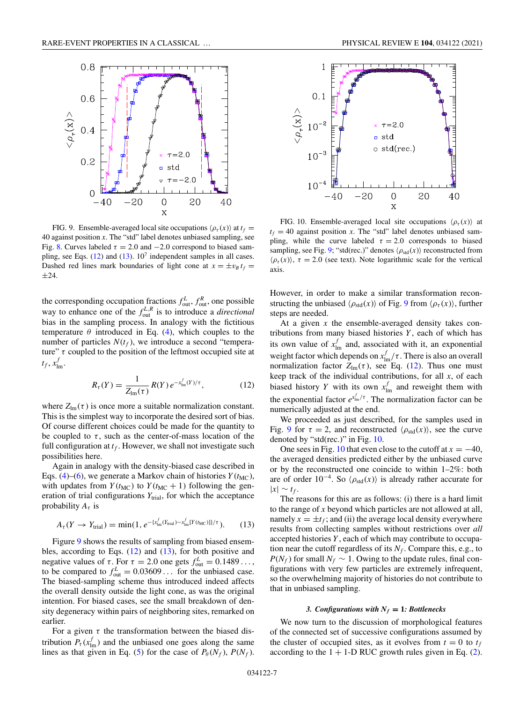<span id="page-6-0"></span>

FIG. 9. Ensemble-averaged local site occupations  $\langle \rho_\tau(x) \rangle$  at  $t_f$ 40 against position *x*. The "std" label denotes unbiased sampling, see Fig. [8.](#page-5-0) Curves labeled  $\tau = 2.0$  and  $-2.0$  correspond to biased sampling, see Eqs.  $(12)$  and  $(13)$ .  $10<sup>7</sup>$  independent samples in all cases. Dashed red lines mark boundaries of light cone at  $x = \pm v_B t_f$ ±24.

the corresponding occupation fractions  $f_{\text{out}}^L$ ,  $f_{\text{out}}^R$ , one possible way to enhance one of the  $f_{out}^{L,R}$  is to introduce a *directional* bias in the sampling process. In analogy with the fictitious temperature  $\theta$  introduced in Eq. [\(4\)](#page-1-0), which couples to the number of particles  $N(t_f)$ , we introduce a second "temperature"  $\tau$  coupled to the position of the leftmost occupied site at  $t_f, x_{lm}^f$ .

$$
R_{\tau}(Y) = \frac{1}{Z_{\text{Im}}(\tau)} R(Y) e^{-x_{\text{Im}}^f(Y)/\tau},
$$
 (12)

where  $Z_{lm}(\tau)$  is once more a suitable normalization constant. This is the simplest way to incorporate the desired sort of bias. Of course different choices could be made for the quantity to be coupled to  $\tau$ , such as the center-of-mass location of the full configuration at  $t_f$ . However, we shall not investigate such possibilities here.

Again in analogy with the density-biased case described in Eqs. [\(4\)](#page-1-0)–[\(6\)](#page-2-0), we generate a Markov chain of histories  $Y(t_{MC})$ , with updates from  $Y(t_{MC})$  to  $Y(t_{MC} + 1)$  following the generation of trial configurations  $Y<sub>trial</sub>$ , for which the acceptance probability  $A_{\tau}$  is

$$
A_{\tau}(Y \to Y_{\text{trial}}) = \min(1, e^{-\{x_{\text{lm}}^f(Y_{\text{trial}}) - x_{\text{lm}}^f[Y(t_{\text{MC}})]\}/\tau}). \tag{13}
$$

Figure 9 shows the results of sampling from biased ensembles, according to Eqs. (12) and (13), for both positive and negative values of  $\tau$ . For  $\tau = 2.0$  one gets  $f_{\text{out}}^L = 0.1489...$ , to be compared to  $f_{\text{out}}^L = 0.03609...$  for the unbiased case. The biased-sampling scheme thus introduced indeed affects the overall density outside the light cone, as was the original intention. For biased cases, see the small breakdown of density degeneracy within pairs of neighboring sites, remarked on earlier.

For a given  $\tau$  the transformation between the biased distribution  $P_{\tau}$  ( $x_{lm}^f$ ) and the unbiased one goes along the same lines as that given in Eq. [\(5\)](#page-2-0) for the case of  $P_{\theta}(N_f)$ ,  $P(N_f)$ .



FIG. 10. Ensemble-averaged local site occupations  $\langle \rho_{\tau}(x) \rangle$  at  $t_f = 40$  against position *x*. The "std" label denotes unbiased sampling, while the curve labeled  $\tau = 2.0$  corresponds to biased sampling, see Fig. 9; "std(rec.)" denotes  $\langle \rho_{std}(x) \rangle$  reconstructed from  $\langle \rho_{\tau}(x) \rangle$ ,  $\tau = 2.0$  (see text). Note logarithmic scale for the vertical axis.

However, in order to make a similar transformation reconstructing the unbiased  $\langle \rho_{std}(x) \rangle$  of Fig. 9 from  $\langle \rho_{\tau}(x) \rangle$ , further steps are needed.

At a given *x* the ensemble-averaged density takes contributions from many biased histories *Y* , each of which has its own value of  $x_{lm}^f$  and, associated with it, an exponential weight factor which depends on  $x_{lm}^f/\tau$ . There is also an overall normalization factor  $Z_{lm}(\tau)$ , see Eq. (12). Thus one must keep track of the individual contributions, for all *x*, of each biased history *Y* with its own  $x_{lm}^f$  and reweight them with the exponential factor  $e^{x_{\text{Im}}^f/\tau}$ . The normalization factor can be numerically adjusted at the end.

We proceeded as just described, for the samples used in Fig. 9 for  $\tau = 2$ , and reconstructed  $\langle \rho_{std}(x) \rangle$ , see the curve denoted by "std(rec.)" in Fig. 10.

One sees in Fig. 10 that even close to the cutoff at  $x = -40$ , the averaged densities predicted either by the unbiased curve or by the reconstructed one coincide to within 1–2%: both are of order  $10^{-4}$ . So  $\langle \rho_{std}(x) \rangle$  is already rather accurate for  $|x|$  ∼  $t_f$ .

The reasons for this are as follows: (i) there is a hard limit to the range of *x* beyond which particles are not allowed at all, namely  $x = \pm t_f$ ; and (ii) the average local density everywhere results from collecting samples without restrictions over *all* accepted histories *Y* , each of which may contribute to occupation near the cutoff regardless of its  $N_f$ . Compare this, e.g., to  $P(N_f)$  for small  $N_f \sim 1$ . Owing to the update rules, final configurations with very few particles are extremely infrequent, so the overwhelming majority of histories do not contribute to that in unbiased sampling.

# *3. Configurations with*  $N_f = 1$ *: Bottlenecks*

We now turn to the discussion of morphological features of the connected set of successive configurations assumed by the cluster of occupied sites, as it evolves from  $t = 0$  to  $t_f$ according to the  $1 + 1$ -D RUC growth rules given in Eq. [\(2\)](#page-1-0).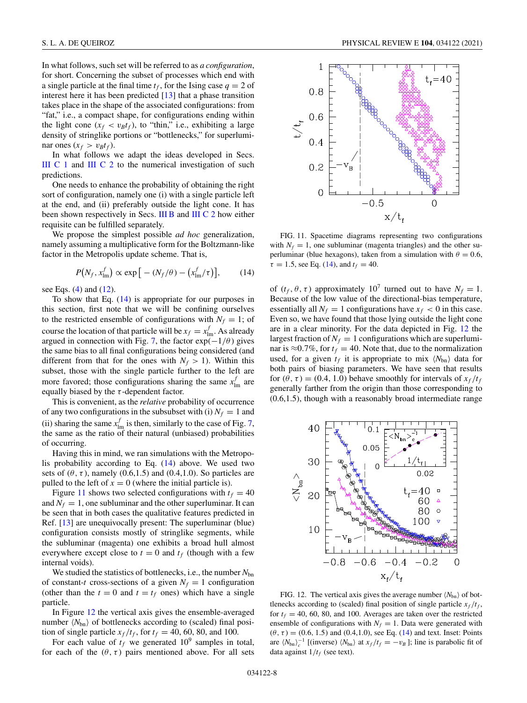<span id="page-7-0"></span>In what follows, such set will be referred to as *a configuration*, for short. Concerning the subset of processes which end with a single particle at the final time  $t_f$ , for the Ising case  $q = 2$  of interest here it has been predicted [\[13\]](#page-9-0) that a phase transition takes place in the shape of the associated configurations: from "fat," i.e., a compact shape, for configurations ending within the light cone  $(x_f < v_B t_f)$ , to "thin," i.e., exhibiting a large density of stringlike portions or "bottlenecks," for superluminar ones  $(x_f > v_B t_f)$ .

In what follows we adapt the ideas developed in Secs. [III C 1](#page-4-0) and [III C 2](#page-5-0) to the numerical investigation of such predictions.

One needs to enhance the probability of obtaining the right sort of configuration, namely one (i) with a single particle left at the end, and (ii) preferably outside the light cone. It has been shown respectively in Secs. [III B](#page-4-0) and [III C 2](#page-5-0) how either requisite can be fulfilled separately.

We propose the simplest possible *ad hoc* generalization, namely assuming a multiplicative form for the Boltzmann-like factor in the Metropolis update scheme. That is,

$$
P(N_f, x_{\text{lm}}^f) \propto \exp\big[-(N_f/\theta) - \big(x_{\text{lm}}^f/\tau\big)\big],\qquad(14)
$$

see Eqs. [\(4\)](#page-1-0) and [\(12\)](#page-6-0).

To show that Eq. (14) is appropriate for our purposes in this section, first note that we will be confining ourselves to the restricted ensemble of configurations with  $N_f = 1$ ; of course the location of that particle will be  $x_f = x_{lm}^f$ . As already argued in connection with Fig. [7,](#page-5-0) the factor  $exp(-1/\theta)$  gives the same bias to all final configurations being considered (and different from that for the ones with  $N_f > 1$ ). Within this subset, those with the single particle further to the left are more favored; those configurations sharing the same  $x_{lm}^f$  are equally biased by the  $\tau$ -dependent factor.

This is convenient, as the *relative* probability of occurrence of any two configurations in the subsubset with (i)  $N_f = 1$  and (ii) sharing the same  $x_{lm}^f$  is then, similarly to the case of Fig. [7,](#page-5-0) the same as the ratio of their natural (unbiased) probabilities of occurring.

Having this in mind, we ran simulations with the Metropolis probability according to Eq. (14) above. We used two sets of  $(\theta, \tau)$ , namely  $(0.6, 1.5)$  and  $(0.4, 1.0)$ . So particles are pulled to the left of  $x = 0$  (where the initial particle is).

Figure 11 shows two selected configurations with  $t_f = 40$ and  $N_f = 1$ , one subluminar and the other superluminar. It can be seen that in both cases the qualitative features predicted in Ref. [\[13\]](#page-9-0) are unequivocally present: The superluminar (blue) configuration consists mostly of stringlike segments, while the subluminar (magenta) one exhibits a broad hull almost everywhere except close to  $t = 0$  and  $t_f$  (though with a few internal voids).

We studied the statistics of bottlenecks, i.e., the number *N*bn of constant-*t* cross-sections of a given  $N_f = 1$  configuration (other than the  $t = 0$  and  $t = t_f$  ones) which have a single particle.

In Figure 12 the vertical axis gives the ensemble-averaged number  $\langle N_{bn} \rangle$  of bottlenecks according to (scaled) final position of single particle  $x_f/t_f$ , for  $t_f = 40, 60, 80$ , and 100.

For each value of  $t_f$  we generated  $10^9$  samples in total, for each of the  $(\theta, \tau)$  pairs mentioned above. For all sets



FIG. 11. Spacetime diagrams representing two configurations with  $N_f = 1$ , one subluminar (magenta triangles) and the other superluminar (blue hexagons), taken from a simulation with  $\theta = 0.6$ ,  $\tau = 1.5$ , see Eq. (14), and  $t_f = 40$ .

of  $(t_f, \theta, \tau)$  approximately 10<sup>7</sup> turned out to have  $N_f = 1$ . Because of the low value of the directional-bias temperature, essentially all  $N_f = 1$  configurations have  $x_f < 0$  in this case. Even so, we have found that those lying outside the light cone are in a clear minority. For the data depicted in Fig. 12 the largest fraction of  $N_f = 1$  configurations which are superluminar is  $\approx 0.7\%$ , for  $t_f = 40$ . Note that, due to the normalization used, for a given  $t_f$  it is appropriate to mix  $\langle N_{bn} \rangle$  data for both pairs of biasing parameters. We have seen that results for  $(\theta, \tau) = (0.4, 1.0)$  behave smoothly for intervals of  $x_f/t_f$ generally farther from the origin than those corresponding to (0.6,1.5), though with a reasonably broad intermediate range



FIG. 12. The vertical axis gives the average number  $\langle N_{bn} \rangle$  of bottlenecks according to (scaled) final position of single particle  $x_f/t_f$ , for  $t_f = 40, 60, 80,$  and 100. Averages are taken over the restricted ensemble of configurations with  $N_f = 1$ . Data were generated with  $(\theta, \tau) = (0.6, 1.5)$  and  $(0.4, 1.0)$ , see Eq. (14) and text. Inset: Points are  $\langle N_{bn} \rangle_c^{-1}$  [(inverse)  $\langle N_{bn} \rangle$  at  $x_f/t_f = -v_B$ ]; line is parabolic fit of data against  $1/t_f$  (see text).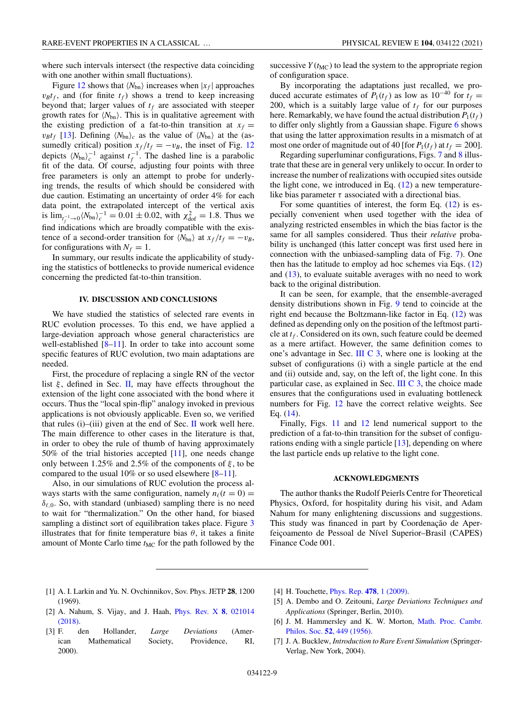<span id="page-8-0"></span>where such intervals intersect (the respective data coinciding with one another within small fluctuations).

Figure [12](#page-7-0) shows that  $\langle N_{bn} \rangle$  increases when  $|x_f|$  approaches  $v_B t_f$ , and (for finite  $t_f$ ) shows a trend to keep increasing beyond that; larger values of  $t_f$  are associated with steeper growth rates for  $\langle N_{bn} \rangle$ . This is in qualitative agreement with the existing prediction of a fat-to-thin transition at  $x_f =$  $v_B t_f$  [\[13\]](#page-9-0). Defining  $\langle N_{bn} \rangle_c$  as the value of  $\langle N_{bn} \rangle$  at the (assumedly critical) position  $x_f/t_f = -v_B$ , the inset of Fig. [12](#page-7-0) depicts  $\langle N_{bn} \rangle_c^{-1}$  against  $t_f^{-1}$ . The dashed line is a parabolic fit of the data. Of course, adjusting four points with three free parameters is only an attempt to probe for underlying trends, the results of which should be considered with due caution. Estimating an uncertainty of order 4% for each data point, the extrapolated intercept of the vertical axis is  $\lim_{t_f^{-1} \to 0} \langle N_{\text{bn}} \rangle_c^{-1} = 0.01 \pm 0.02$ , with  $\chi^2_{\text{dof}} = 1.8$ . Thus we find indications which are broadly compatible with the existence of a second-order transition for  $\langle N_{bn} \rangle$  at  $x_f/t_f = -v_B$ , for configurations with  $N_f = 1$ .

In summary, our results indicate the applicability of studying the statistics of bottlenecks to provide numerical evidence concerning the predicted fat-to-thin transition.

#### **IV. DISCUSSION AND CONCLUSIONS**

We have studied the statistics of selected rare events in RUC evolution processes. To this end, we have applied a large-deviation approach whose general characteristics are well-established  $[8-11]$ . In order to take into account some specific features of RUC evolution, two main adaptations are needed.

First, the procedure of replacing a single RN of the vector list  $\xi$ , defined in Sec. [II,](#page-0-0) may have effects throughout the extension of the light cone associated with the bond where it occurs. Thus the "local spin-flip" analogy invoked in previous applications is not obviously applicable. Even so, we verified that rules (i)–(iii) given at the end of Sec. [II](#page-0-0) work well here. The main difference to other cases in the literature is that, in order to obey the rule of thumb of having approximately 50% of the trial histories accepted [\[11\]](#page-9-0), one needs change only between 1.25% and 2.5% of the components of  $\xi$ , to be compared to the usual 10% or so used elsewhere  $[8-11]$ .

Also, in our simulations of RUC evolution the process always starts with the same configuration, namely  $n_{\ell}(t = 0) =$  $\delta_{\ell,0}$ . So, with standard (unbiased) sampling there is no need to wait for "thermalization." On the other hand, for biased sampling a distinct sort of equilibration takes place. Figure [3](#page-3-0) illustrates that for finite temperature bias  $\theta$ , it takes a finite amount of Monte Carlo time  $t_{MC}$  for the path followed by the

successive  $Y(t_{MC})$  to lead the system to the appropriate region of configuration space.

By incorporating the adaptations just recalled, we produced accurate estimates of  $P_1(t_f)$  as low as 10<sup>-40</sup> for  $t_f =$ 200, which is a suitably large value of  $t_f$  for our purposes here. Remarkably, we have found the actual distribution  $P_1(t_f)$ to differ only slightly from a Gaussian shape. Figure [6](#page-5-0) shows that using the latter approximation results in a mismatch of at most one order of magnitude out of 40 [for  $P_1(t_f)$  at  $t_f = 200$ ].

Regarding superluminar configurations, Figs. [7](#page-5-0) and [8](#page-5-0) illustrate that these are in general very unlikely to occur. In order to increase the number of realizations with occupied sites outside the light cone, we introduced in Eq.  $(12)$  a new temperaturelike bias parameter  $\tau$  associated with a directional bias.

For some quantities of interest, the form Eq. [\(12\)](#page-6-0) is especially convenient when used together with the idea of analyzing restricted ensembles in which the bias factor is the same for all samples considered. Thus their *relative* probability is unchanged (this latter concept was first used here in connection with the unbiased-sampling data of Fig. [7\)](#page-5-0). One then has the latitude to employ ad hoc schemes via Eqs.  $(12)$ and  $(13)$ , to evaluate suitable averages with no need to work back to the original distribution.

It can be seen, for example, that the ensemble-averaged density distributions shown in Fig. [9](#page-6-0) tend to coincide at the right end because the Boltzmann-like factor in Eq. [\(12\)](#page-6-0) was defined as depending only on the position of the leftmost particle at  $t_f$ . Considered on its own, such feature could be deemed as a mere artifact. However, the same definition comes to one's advantage in Sec. [III C 3,](#page-6-0) where one is looking at the subset of configurations (i) with a single particle at the end and (ii) outside and, say, on the left of, the light cone. In this particular case, as explained in Sec. [III C 3,](#page-6-0) the choice made ensures that the configurations used in evaluating bottleneck numbers for Fig. [12](#page-7-0) have the correct relative weights. See Eq. [\(14\)](#page-7-0).

Finally, Figs. [11](#page-7-0) and [12](#page-7-0) lend numerical support to the prediction of a fat-to-thin transition for the subset of configurations ending with a single particle [\[13\]](#page-9-0), depending on where the last particle ends up relative to the light cone.

### **ACKNOWLEDGMENTS**

The author thanks the Rudolf Peierls Centre for Theoretical Physics, Oxford, for hospitality during his visit, and Adam Nahum for many enlightening discussions and suggestions. This study was financed in part by Coordenação de Aperfeiçoamento de Pessoal de Nível Superior–Brasil (CAPES) Finance Code 001.

- [1] A. I. Larkin and Yu. N. Ovchinnikov, Sov. Phys. JETP **28**, 1200 (1969).
- [2] [A. Nahum, S. Vijay, and J. Haah,](https://doi.org/10.1103/PhysRevX.8.021014) Phys. Rev. X **8**, 021014 (2018).
- [3] F. den Hollander, *Large Deviations* (American Mathematical Society, Providence, RI, 2000).
- [4] H. Touchette, [Phys. Rep.](https://doi.org/10.1016/j.physrep.2009.05.002) **478**, 1 (2009).
- [5] A. Dembo and O. Zeitouni, *Large Deviations Techniques and Applications* (Springer, Berlin, 2010).
- [6] [J. M. Hammersley and K. W. Morton,](https://doi.org/10.1017/S0305004100031455) Math. Proc. Cambr. Philos. Soc. **52**, 449 (1956).
- [7] J. A. Bucklew, *Introduction to Rare Event Simulation* (Springer-Verlag, New York, 2004).